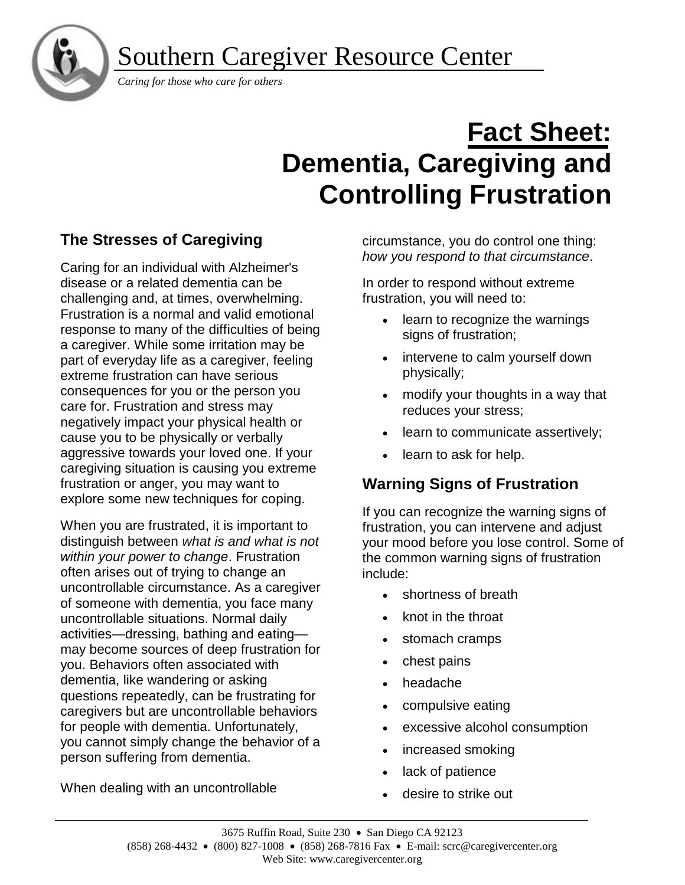Southern Caregiver Resource Center



*Caring for those who care for others*

# **Fact Sheet: Dementia, Caregiving and Controlling Frustration**

# **The Stresses of Caregiving**

Caring for an individual with Alzheimer's disease or a related dementia can be challenging and, at times, overwhelming. Frustration is a normal and valid emotional response to many of the difficulties of being a caregiver. While some irritation may be part of everyday life as a caregiver, feeling extreme frustration can have serious consequences for you or the person you care for. Frustration and stress may negatively impact your physical health or cause you to be physically or verbally aggressive towards your loved one. If your caregiving situation is causing you extreme frustration or anger, you may want to explore some new techniques for coping.

When you are frustrated, it is important to distinguish between *what is and what is not within your power to change*. Frustration often arises out of trying to change an uncontrollable circumstance. As a caregiver of someone with dementia, you face many uncontrollable situations. Normal daily activities—dressing, bathing and eating may become sources of deep frustration for you. Behaviors often associated with dementia, like wandering or asking questions repeatedly, can be frustrating for caregivers but are uncontrollable behaviors for people with dementia. Unfortunately, you cannot simply change the behavior of a person suffering from dementia.

When dealing with an uncontrollable

circumstance, you do control one thing: *how you respond to that circumstance*.

In order to respond without extreme frustration, you will need to:

- learn to recognize the warnings signs of frustration;
- intervene to calm yourself down physically;
- modify your thoughts in a way that reduces your stress;
- learn to communicate assertively;
- learn to ask for help.

# **Warning Signs of Frustration**

If you can recognize the warning signs of frustration, you can intervene and adjust your mood before you lose control. Some of the common warning signs of frustration include:

- shortness of breath
- knot in the throat
- stomach cramps
- chest pains
- headache
- compulsive eating
- excessive alcohol consumption
- increased smoking
- lack of patience
- desire to strike out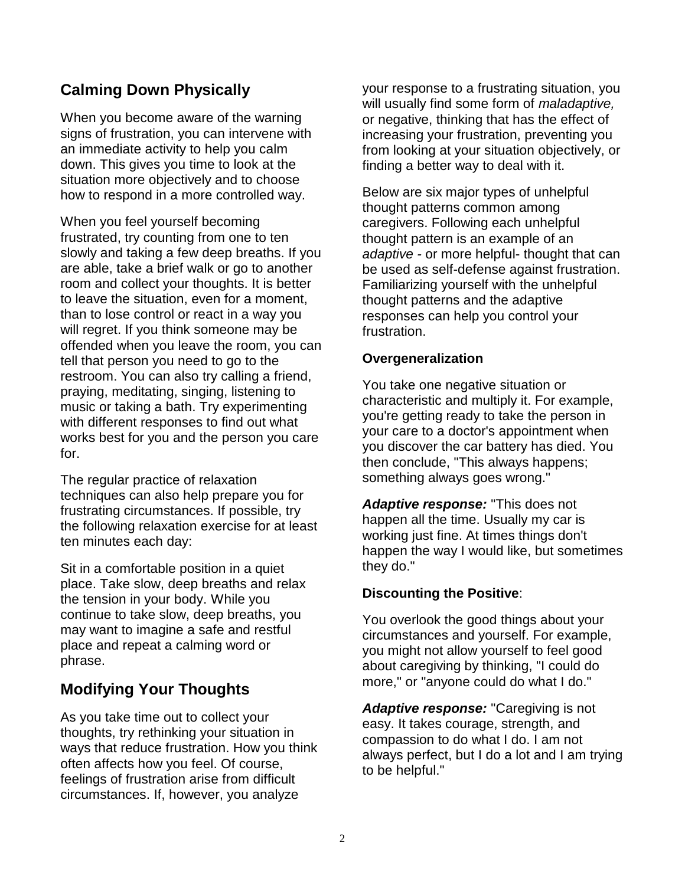# **Calming Down Physically**

When you become aware of the warning signs of frustration, you can intervene with an immediate activity to help you calm down. This gives you time to look at the situation more objectively and to choose how to respond in a more controlled way.

When you feel yourself becoming frustrated, try counting from one to ten slowly and taking a few deep breaths. If you are able, take a brief walk or go to another room and collect your thoughts. It is better to leave the situation, even for a moment, than to lose control or react in a way you will regret. If you think someone may be offended when you leave the room, you can tell that person you need to go to the restroom. You can also try calling a friend, praying, meditating, singing, listening to music or taking a bath. Try experimenting with different responses to find out what works best for you and the person you care for.

The regular practice of relaxation techniques can also help prepare you for frustrating circumstances. If possible, try the following relaxation exercise for at least ten minutes each day:

Sit in a comfortable position in a quiet place. Take slow, deep breaths and relax the tension in your body. While you continue to take slow, deep breaths, you may want to imagine a safe and restful place and repeat a calming word or phrase.

# **Modifying Your Thoughts**

As you take time out to collect your thoughts, try rethinking your situation in ways that reduce frustration. How you think often affects how you feel. Of course, feelings of frustration arise from difficult circumstances. If, however, you analyze

your response to a frustrating situation, you will usually find some form of *maladaptive,*  or negative, thinking that has the effect of increasing your frustration, preventing you from looking at your situation objectively, or finding a better way to deal with it.

Below are six major types of unhelpful thought patterns common among caregivers. Following each unhelpful thought pattern is an example of an *adaptive -* or more helpful- thought that can be used as self-defense against frustration. Familiarizing yourself with the unhelpful thought patterns and the adaptive responses can help you control your frustration.

#### **Overgeneralization**

You take one negative situation or characteristic and multiply it. For example, you're getting ready to take the person in your care to a doctor's appointment when you discover the car battery has died. You then conclude, "This always happens; something always goes wrong."

*Adaptive response:* "This does not happen all the time. Usually my car is working just fine. At times things don't happen the way I would like, but sometimes they do."

## **Discounting the Positive**:

You overlook the good things about your circumstances and yourself. For example, you might not allow yourself to feel good about caregiving by thinking, "I could do more," or "anyone could do what I do."

*Adaptive response:* "Caregiving is not easy. It takes courage, strength, and compassion to do what I do. I am not always perfect, but I do a lot and I am trying to be helpful."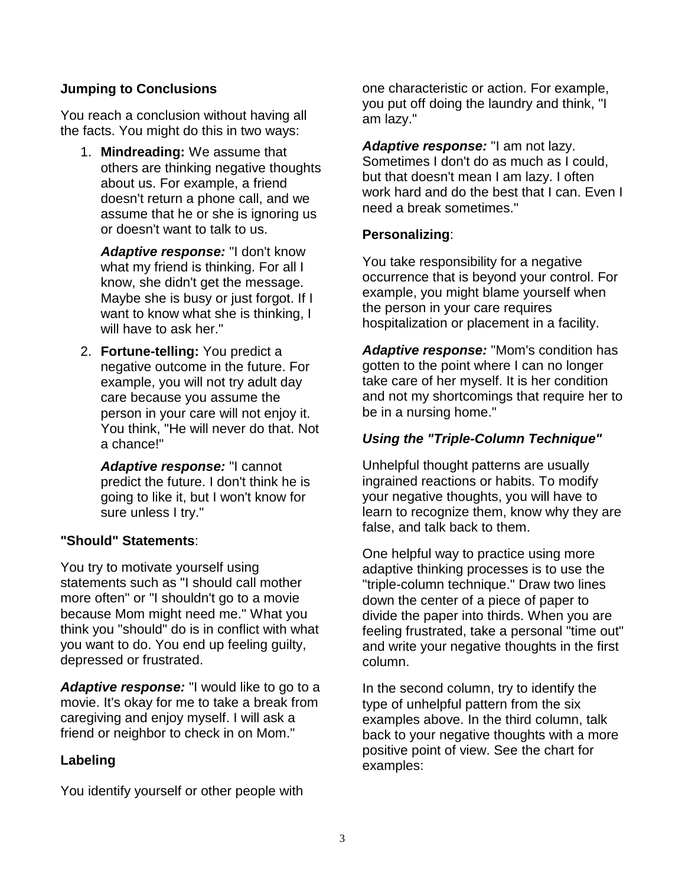#### **Jumping to Conclusions**

You reach a conclusion without having all the facts. You might do this in two ways:

1. **Mindreading:** We assume that others are thinking negative thoughts about us. For example, a friend doesn't return a phone call, and we assume that he or she is ignoring us or doesn't want to talk to us.

*Adaptive response:* "I don't know what my friend is thinking. For all I know, she didn't get the message. Maybe she is busy or just forgot. If I want to know what she is thinking, I will have to ask her."

2. **Fortune-telling:** You predict a negative outcome in the future. For example, you will not try adult day care because you assume the person in your care will not enjoy it. You think, "He will never do that. Not a chance!"

*Adaptive response:* "I cannot predict the future. I don't think he is going to like it, but I won't know for sure unless I try."

#### **"Should" Statements**:

You try to motivate yourself using statements such as "I should call mother more often" or "I shouldn't go to a movie because Mom might need me." What you think you "should" do is in conflict with what you want to do. You end up feeling guilty, depressed or frustrated.

*Adaptive response:* "I would like to go to a movie. It's okay for me to take a break from caregiving and enjoy myself. I will ask a friend or neighbor to check in on Mom."

## **Labeling**

You identify yourself or other people with

one characteristic or action. For example, you put off doing the laundry and think, "I am lazy."

*Adaptive response:* "I am not lazy. Sometimes I don't do as much as I could, but that doesn't mean I am lazy. I often work hard and do the best that I can. Even I need a break sometimes."

#### **Personalizing**:

You take responsibility for a negative occurrence that is beyond your control. For example, you might blame yourself when the person in your care requires hospitalization or placement in a facility.

*Adaptive response:* "Mom's condition has gotten to the point where I can no longer take care of her myself. It is her condition and not my shortcomings that require her to be in a nursing home."

#### *Using the "Triple-Column Technique"*

Unhelpful thought patterns are usually ingrained reactions or habits. To modify your negative thoughts, you will have to learn to recognize them, know why they are false, and talk back to them.

One helpful way to practice using more adaptive thinking processes is to use the "triple-column technique." Draw two lines down the center of a piece of paper to divide the paper into thirds. When you are feeling frustrated, take a personal "time out" and write your negative thoughts in the first column.

In the second column, try to identify the type of unhelpful pattern from the six examples above. In the third column, talk back to your negative thoughts with a more positive point of view. See the chart for examples: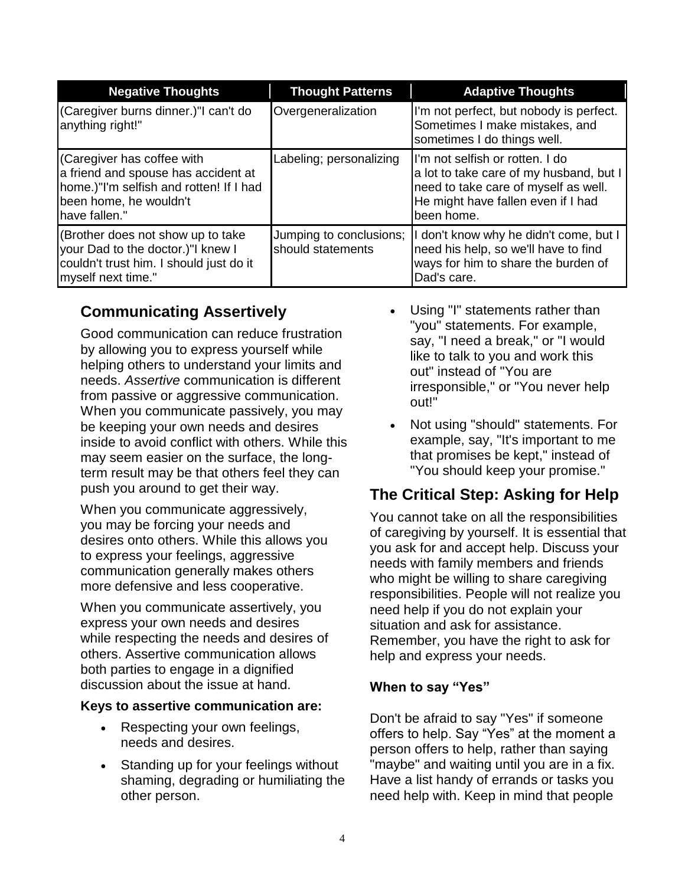| <b>Negative Thoughts</b>                                                                                                                               | <b>Thought Patterns</b>                      | <b>Adaptive Thoughts</b>                                                                                                                                               |
|--------------------------------------------------------------------------------------------------------------------------------------------------------|----------------------------------------------|------------------------------------------------------------------------------------------------------------------------------------------------------------------------|
| (Caregiver burns dinner.)"I can't do<br>anything right!"                                                                                               | Overgeneralization                           | I'm not perfect, but nobody is perfect.<br>Sometimes I make mistakes, and<br>sometimes I do things well.                                                               |
| Caregiver has coffee with<br>a friend and spouse has accident at<br>home.)"I'm selfish and rotten! If I had<br>been home, he wouldn't<br>have fallen." | Labeling; personalizing                      | I'm not selfish or rotten. I do<br>a lot to take care of my husband, but I<br>need to take care of myself as well.<br>He might have fallen even if I had<br>been home. |
| (Brother does not show up to take<br>your Dad to the doctor.)"I knew I<br>couldn't trust him. I should just do it<br>myself next time."                | Jumping to conclusions;<br>should statements | I don't know why he didn't come, but I<br>need his help, so we'll have to find<br>ways for him to share the burden of<br>Dad's care.                                   |

# **Communicating Assertively**

Good communication can reduce frustration by allowing you to express yourself while helping others to understand your limits and needs. *Assertive* communication is different from passive or aggressive communication. When you communicate passively, you may be keeping your own needs and desires inside to avoid conflict with others. While this may seem easier on the surface, the longterm result may be that others feel they can push you around to get their way.

When you communicate aggressively, you may be forcing your needs and desires onto others. While this allows you to express your feelings, aggressive communication generally makes others more defensive and less cooperative.

When you communicate assertively, you express your own needs and desires while respecting the needs and desires of others. Assertive communication allows both parties to engage in a dignified discussion about the issue at hand.

## **Keys to assertive communication are:**

- Respecting your own feelings, needs and desires.
- Standing up for your feelings without shaming, degrading or humiliating the other person.
- Using "I" statements rather than "you" statements. For example, say, "I need a break," or "I would like to talk to you and work this out" instead of "You are irresponsible," or "You never help out!"
- Not using "should" statements. For example, say, "It's important to me that promises be kept," instead of "You should keep your promise."

## **The Critical Step: Asking for Help**

You cannot take on all the responsibilities of caregiving by yourself. It is essential that you ask for and accept help. Discuss your needs with family members and friends who might be willing to share caregiving responsibilities. People will not realize you need help if you do not explain your situation and ask for assistance. Remember, you have the right to ask for help and express your needs.

## **When to say "Yes"**

Don't be afraid to say "Yes" if someone offers to help. Say "Yes" at the moment a person offers to help, rather than saying "maybe" and waiting until you are in a fix. Have a list handy of errands or tasks you need help with. Keep in mind that people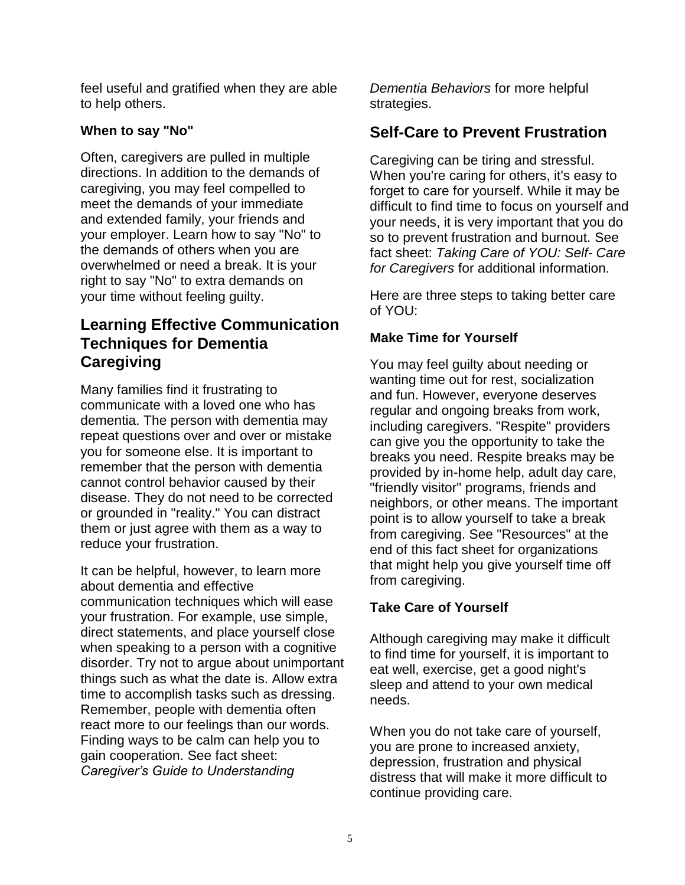feel useful and gratified when they are able to help others.

## **When to say "No"**

Often, caregivers are pulled in multiple directions. In addition to the demands of caregiving, you may feel compelled to meet the demands of your immediate and extended family, your friends and your employer. Learn how to say "No" to the demands of others when you are overwhelmed or need a break. It is your right to say "No" to extra demands on your time without feeling guilty.

# **Learning Effective Communication Techniques for Dementia Caregiving**

Many families find it frustrating to communicate with a loved one who has dementia. The person with dementia may repeat questions over and over or mistake you for someone else. It is important to remember that the person with dementia cannot control behavior caused by their disease. They do not need to be corrected or grounded in "reality." You can distract them or just agree with them as a way to reduce your frustration.

It can be helpful, however, to learn more about dementia and effective communication techniques which will ease your frustration. For example, use simple, direct statements, and place yourself close when speaking to a person with a cognitive disorder. Try not to argue about unimportant things such as what the date is. Allow extra time to accomplish tasks such as dressing. Remember, people with dementia often react more to our feelings than our words. Finding ways to be calm can help you to gain cooperation. See fact sheet: *Caregiver's Guide to Understanding* 

*Dementia Behaviors* for more helpful strategies.

# **Self-Care to Prevent Frustration**

Caregiving can be tiring and stressful. When you're caring for others, it's easy to forget to care for yourself. While it may be difficult to find time to focus on yourself and your needs, it is very important that you do so to prevent frustration and burnout. See fact sheet: *Taking Care of YOU: Self- Care for Caregivers* for additional information.

Here are three steps to taking better care of YOU:

## **Make Time for Yourself**

You may feel guilty about needing or wanting time out for rest, socialization and fun. However, everyone deserves regular and ongoing breaks from work, including caregivers. "Respite" providers can give you the opportunity to take the breaks you need. Respite breaks may be provided by in-home help, adult day care, "friendly visitor" programs, friends and neighbors, or other means. The important point is to allow yourself to take a break from caregiving. See "Resources" at the end of this fact sheet for organizations that might help you give yourself time off from caregiving.

## **Take Care of Yourself**

Although caregiving may make it difficult to find time for yourself, it is important to eat well, exercise, get a good night's sleep and attend to your own medical needs.

When you do not take care of yourself, you are prone to increased anxiety, depression, frustration and physical distress that will make it more difficult to continue providing care.